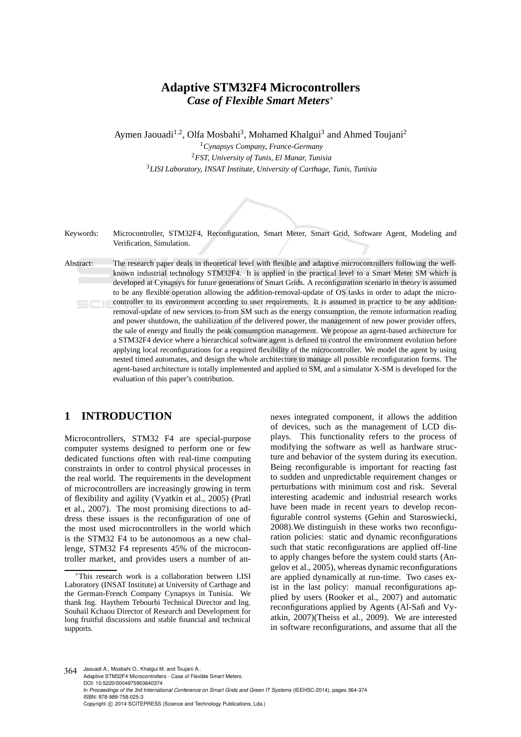# **Adaptive STM32F4 Microcontrollers** *Case of Flexible Smart Meters*<sup>∗</sup>

Aymen Jaouadi<sup>1,2</sup>, Olfa Mosbahi<sup>3</sup>, Mohamed Khalgui<sup>3</sup> and Ahmed Toujani<sup>2</sup>

<sup>1</sup>*Cynapsys Company, France-Germany* <sup>2</sup>*FST, University of Tunis, El Manar, Tunisia* <sup>3</sup>*LISI Laboratory, INSAT Institute, University of Carthage, Tunis, Tunisia*

Keywords: Microcontroller, STM32F4, Reconfiguration, Smart Meter, Smart Grid, Software Agent, Modeling and Verification, Simulation.

Abstract: The research paper deals in theoretical level with flexible and adaptive microcontrollers following the wellknown industrial technology STM32F4. It is applied in the practical level to a Smart Meter SM which is developed at Cynapsys for future generations of Smart Grids. A reconfiguration scenario in theory is assumed to be any flexible operation allowing the addition-removal-update of OS tasks in order to adapt the microcontroller to its environment according to user requirements. It is assumed in practice to be any additionremoval-update of new services to-from SM such as the energy consumption, the remote information reading and power shutdown, the stabilization of the delivered power, the management of new power provider offers, the sale of energy and finally the peak consumption management. We propose an agent-based architecture for a STM32F4 device where a hierarchical software agent is defined to control the environment evolution before applying local reconfigurations for a required flexibility of the microcontroller. We model the agent by using nested timed automates, and design the whole architecture to manage all possible reconfiguration forms. The agent-based architecture is totally implemented and applied to SM, and a simulator X-SM is developed for the evaluation of this paper's contribution.

## **1 INTRODUCTION**

Microcontrollers, STM32 F4 are special-purpose computer systems designed to perform one or few dedicated functions often with real-time computing constraints in order to control physical processes in the real world. The requirements in the development of microcontrollers are increasingly growing in term of flexibility and agility (Vyatkin et al., 2005) (Pratl et al., 2007). The most promising directions to address these issues is the reconfiguration of one of the most used microcontrollers in the world which is the STM32 F4 to be autonomous as a new challenge, STM32 F4 represents 45% of the microcontroller market, and provides users a number of an-

nexes integrated component, it allows the addition of devices, such as the management of LCD displays. This functionality refers to the process of modifying the software as well as hardware structure and behavior of the system during its execution. Being reconfigurable is important for reacting fast to sudden and unpredictable requirement changes or perturbations with minimum cost and risk. Several interesting academic and industrial research works have been made in recent years to develop reconfigurable control systems (Gehin and Staroswiecki, 2008).We distinguish in these works two reconfiguration policies: static and dynamic reconfigurations such that static reconfigurations are applied off-line to apply changes before the system could starts (Angelov et al., 2005), whereas dynamic reconfigurations are applied dynamically at run-time. Two cases exist in the last policy: manual reconfigurations applied by users (Rooker et al., 2007) and automatic reconfigurations applied by Agents (Al-Safi and Vyatkin, 2007)(Theiss et al., 2009). We are interested in software reconfigurations, and assume that all the

364 Jaouadi A., Mosbahi O., Khalgui M. and Toujani A.. Adaptive STM32F4 Microcontrollers - Case of Flexible Smart Meters. DOI: 10.5220/0004975903640374 In *Proceedings of the 3rd International Conference on Smart Grids and Green IT Systems* (IEEHSC-2014), pages 364-374 ISBN: 978-989-758-025-3 Copyright © 2014 SCITEPRESS (Science and Technology Publications, Lda.)

<sup>∗</sup>This research work is a collaboration between LISI Laboratory (INSAT Institute) at University of Carthage and the German-French Company Cynapsys in Tunisia. We thank Ing. Haythem Tebourbi Technical Director and Ing. Souhail Kchaou Director of Research and Development for long fruitful discussions and stable financial and technical supports.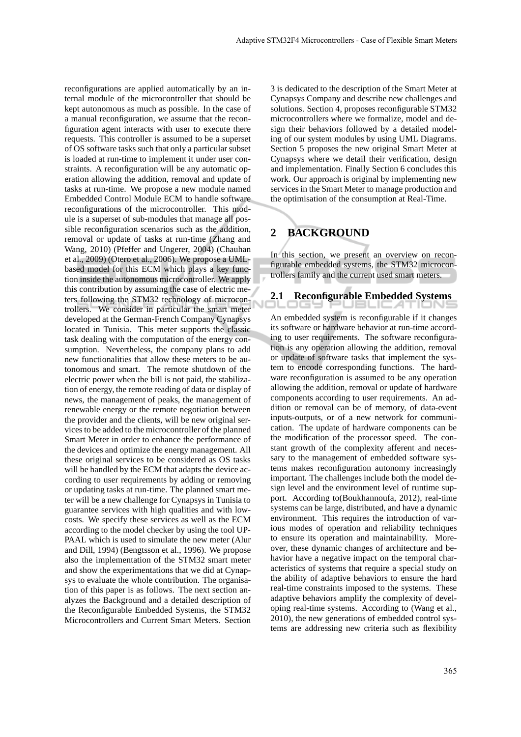reconfigurations are applied automatically by an internal module of the microcontroller that should be kept autonomous as much as possible. In the case of a manual reconfiguration, we assume that the reconfiguration agent interacts with user to execute there requests. This controller is assumed to be a superset of OS software tasks such that only a particular subset is loaded at run-time to implement it under user constraints. A reconfiguration will be any automatic operation allowing the addition, removal and update of tasks at run-time. We propose a new module named Embedded Control Module ECM to handle software reconfigurations of the microcontroller. This module is a superset of sub-modules that manage all possible reconfiguration scenarios such as the addition, removal or update of tasks at run-time (Zhang and Wang, 2010) (Pfeffer and Ungerer, 2004) (Chauhan et al., 2009) (Otero et al., 2006). We propose a UMLbased model for this ECM which plays a key function inside the autonomous microcontroller. We apply this contribution by assuming the case of electric meters following the STM32 technology of microcontrollers. We consider in particular the smart meter developed at the German-French Company Cynapsys located in Tunisia. This meter supports the classic task dealing with the computation of the energy consumption. Nevertheless, the company plans to add new functionalities that allow these meters to be autonomous and smart. The remote shutdown of the electric power when the bill is not paid, the stabilization of energy, the remote reading of data or display of news, the management of peaks, the management of renewable energy or the remote negotiation between the provider and the clients, will be new original services to be added to the microcontroller of the planned Smart Meter in order to enhance the performance of the devices and optimize the energy management. All these original services to be considered as OS tasks will be handled by the ECM that adapts the device according to user requirements by adding or removing or updating tasks at run-time. The planned smart meter will be a new challenge for Cynapsys in Tunisia to guarantee services with high qualities and with lowcosts. We specify these services as well as the ECM according to the model checker by using the tool UP-PAAL which is used to simulate the new meter (Alur and Dill, 1994) (Bengtsson et al., 1996). We propose also the implementation of the STM32 smart meter and show the experimentations that we did at Cynapsys to evaluate the whole contribution. The organisation of this paper is as follows. The next section analyzes the Background and a detailed description of the Reconfigurable Embedded Systems, the STM32 Microcontrollers and Current Smart Meters. Section

3 is dedicated to the description of the Smart Meter at Cynapsys Company and describe new challenges and solutions. Section 4, proposes reconfigurable STM32 microcontrollers where we formalize, model and design their behaviors followed by a detailed modeling of our system modules by using UML Diagrams. Section 5 proposes the new original Smart Meter at Cynapsys where we detail their verification, design and implementation. Finally Section 6 concludes this work. Our approach is original by implementing new services in the Smart Meter to manage production and the optimisation of the consumption at Real-Time.

# **2 BACKGROUND**

In this section, we present an overview on reconfigurable embedded systems, the STM32 microcontrollers family and the current used smart meters.

## **2.1 Reconfigurable Embedded Systems**

An embedded system is reconfigurable if it changes its software or hardware behavior at run-time according to user requirements. The software reconfiguration is any operation allowing the addition, removal or update of software tasks that implement the system to encode corresponding functions. The hardware reconfiguration is assumed to be any operation allowing the addition, removal or update of hardware components according to user requirements. An addition or removal can be of memory, of data-event inputs-outputs, or of a new network for communication. The update of hardware components can be the modification of the processor speed. The constant growth of the complexity afferent and necessary to the management of embedded software systems makes reconfiguration autonomy increasingly important. The challenges include both the model design level and the environment level of runtime support. According to(Boukhannoufa, 2012), real-time systems can be large, distributed, and have a dynamic environment. This requires the introduction of various modes of operation and reliability techniques to ensure its operation and maintainability. Moreover, these dynamic changes of architecture and behavior have a negative impact on the temporal characteristics of systems that require a special study on the ability of adaptive behaviors to ensure the hard real-time constraints imposed to the systems. These adaptive behaviors amplify the complexity of developing real-time systems. According to (Wang et al., 2010), the new generations of embedded control systems are addressing new criteria such as flexibility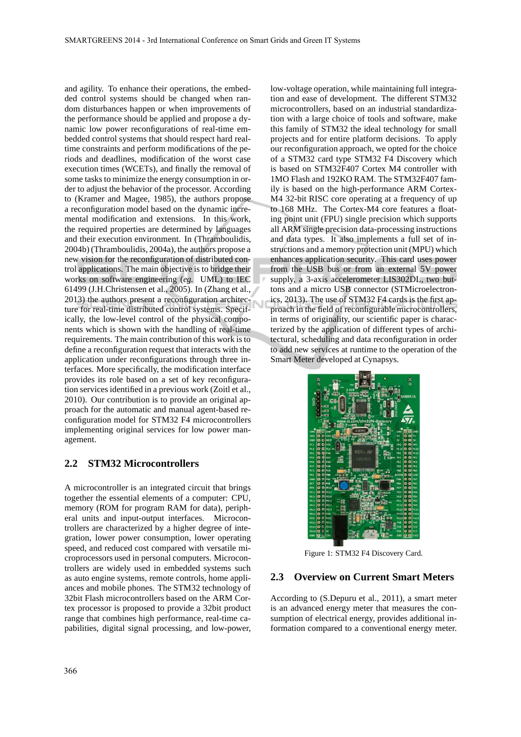and agility. To enhance their operations, the embedded control systems should be changed when random disturbances happen or when improvements of the performance should be applied and propose a dynamic low power reconfigurations of real-time embedded control systems that should respect hard realtime constraints and perform modifications of the periods and deadlines, modification of the worst case execution times (WCETs), and finally the removal of some tasks to minimize the energy consumption in order to adjust the behavior of the processor. According to (Kramer and Magee, 1985), the authors propose a reconfiguration model based on the dynamic incremental modification and extensions. In this work, the required properties are determined by languages and their execution environment. In (Thramboulidis, 2004b) (Thramboulidis, 2004a), the authors propose a new vision for the reconfiguration of distributed control applications. The main objective is to bridge their works on software engineering (*eg.* UML) to IEC 61499 (J.H.Christensen et al., 2005). In (Zhang et al., 2013) the authors present a reconfiguration architecture for real-time distributed control systems. Specifically, the low-level control of the physical components which is shown with the handling of real-time requirements. The main contribution of this work is to define a reconfiguration request that interacts with the application under reconfigurations through three interfaces. More specifically, the modification interface provides its role based on a set of key reconfiguration services identified in a previous work (Zoitl et al., 2010). Our contribution is to provide an original approach for the automatic and manual agent-based reconfiguration model for STM32 F4 microcontrollers implementing original services for low power management.

#### **2.2 STM32 Microcontrollers**

A microcontroller is an integrated circuit that brings together the essential elements of a computer: CPU, memory (ROM for program RAM for data), peripheral units and input-output interfaces. Microcontrollers are characterized by a higher degree of integration, lower power consumption, lower operating speed, and reduced cost compared with versatile microprocessors used in personal computers. Microcontrollers are widely used in embedded systems such as auto engine systems, remote controls, home appliances and mobile phones. The STM32 technology of 32bit Flash microcontrollers based on the ARM Cortex processor is proposed to provide a 32bit product range that combines high performance, real-time capabilities, digital signal processing, and low-power, low-voltage operation, while maintaining full integration and ease of development. The different STM32 microcontrollers, based on an industrial standardization with a large choice of tools and software, make this family of STM32 the ideal technology for small projects and for entire platform decisions. To apply our reconfiguration approach, we opted for the choice of a STM32 card type STM32 F4 Discovery which is based on STM32F407 Cortex M4 controller with 1MO Flash and 192KO RAM. The STM32F407 family is based on the high-performance ARM Cortex-M4 32-bit RISC core operating at a frequency of up to 168 MHz. The Cortex-M4 core features a floating point unit (FPU) single precision which supports all ARM single precision data-processing instructions and data types. It also implements a full set of instructions and a memory protection unit (MPU) which enhances application security. This card uses power from the USB bus or from an external 5V power supply, a 3-axis accelerometer LIS302DL, two buttons and a micro USB connector (STMicroelectronics, 2013). The use of STM32 F4 cards is the first approach in the field of reconfigurable microcontrollers, in terms of originality, our scientific paper is characterized by the application of different types of architectural, scheduling and data reconfiguration in order to add new services at runtime to the operation of the Smart Meter developed at Cynapsys.



Figure 1: STM32 F4 Discovery Card.

#### **2.3 Overview on Current Smart Meters**

According to (S.Depuru et al., 2011), a smart meter is an advanced energy meter that measures the consumption of electrical energy, provides additional information compared to a conventional energy meter.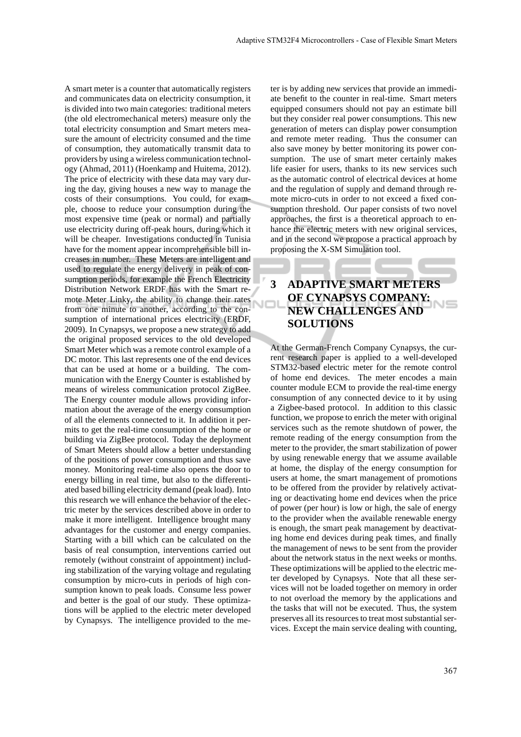A smart meter is a counter that automatically registers and communicates data on electricity consumption, it is divided into two main categories: traditional meters (the old electromechanical meters) measure only the total electricity consumption and Smart meters measure the amount of electricity consumed and the time of consumption, they automatically transmit data to providers by using a wireless communication technology (Ahmad, 2011) (Hoenkamp and Huitema, 2012). The price of electricity with these data may vary during the day, giving houses a new way to manage the costs of their consumptions. You could, for example, choose to reduce your consumption during the most expensive time (peak or normal) and partially use electricity during off-peak hours, during which it will be cheaper. Investigations conducted in Tunisia have for the moment appear incomprehensible bill increases in number. These Meters are intelligent and used to regulate the energy delivery in peak of consumption periods, for example the French Electricity Distribution Network ERDF has with the Smart remote Meter Linky, the ability to change their rates from one minute to another, according to the consumption of international prices electricity (ERDF, 2009). In Cynapsys, we propose a new strategy to add the original proposed services to the old developed Smart Meter which was a remote control example of a DC motor. This last represents one of the end devices that can be used at home or a building. The communication with the Energy Counter is established by means of wireless communication protocol ZigBee. The Energy counter module allows providing information about the average of the energy consumption of all the elements connected to it. In addition it permits to get the real-time consumption of the home or building via ZigBee protocol. Today the deployment of Smart Meters should allow a better understanding of the positions of power consumption and thus save money. Monitoring real-time also opens the door to energy billing in real time, but also to the differentiated based billing electricity demand (peak load). Into this research we will enhance the behavior of the electric meter by the services described above in order to make it more intelligent. Intelligence brought many advantages for the customer and energy companies. Starting with a bill which can be calculated on the basis of real consumption, interventions carried out remotely (without constraint of appointment) including stabilization of the varying voltage and regulating consumption by micro-cuts in periods of high consumption known to peak loads. Consume less power and better is the goal of our study. These optimizations will be applied to the electric meter developed by Cynapsys. The intelligence provided to the meter is by adding new services that provide an immediate benefit to the counter in real-time. Smart meters equipped consumers should not pay an estimate bill but they consider real power consumptions. This new generation of meters can display power consumption and remote meter reading. Thus the consumer can also save money by better monitoring its power consumption. The use of smart meter certainly makes life easier for users, thanks to its new services such as the automatic control of electrical devices at home and the regulation of supply and demand through remote micro-cuts in order to not exceed a fixed consumption threshold. Our paper consists of two novel approaches, the first is a theoretical approach to enhance the electric meters with new original services, and in the second we propose a practical approach by proposing the X-SM Simulation tool.

# **3 ADAPTIVE SMART METERS OF CYNAPSYS COMPANY: NEW CHALLENGES AND SOLUTIONS**

ЧC

At the German-French Company Cynapsys, the current research paper is applied to a well-developed STM32-based electric meter for the remote control of home end devices. The meter encodes a main counter module ECM to provide the real-time energy consumption of any connected device to it by using a Zigbee-based protocol. In addition to this classic function, we propose to enrich the meter with original services such as the remote shutdown of power, the remote reading of the energy consumption from the meter to the provider, the smart stabilization of power by using renewable energy that we assume available at home, the display of the energy consumption for users at home, the smart management of promotions to be offered from the provider by relatively activating or deactivating home end devices when the price of power (per hour) is low or high, the sale of energy to the provider when the available renewable energy is enough, the smart peak management by deactivating home end devices during peak times, and finally the management of news to be sent from the provider about the network status in the next weeks or months. These optimizations will be applied to the electric meter developed by Cynapsys. Note that all these services will not be loaded together on memory in order to not overload the memory by the applications and the tasks that will not be executed. Thus, the system preserves all its resources to treat most substantial services. Except the main service dealing with counting,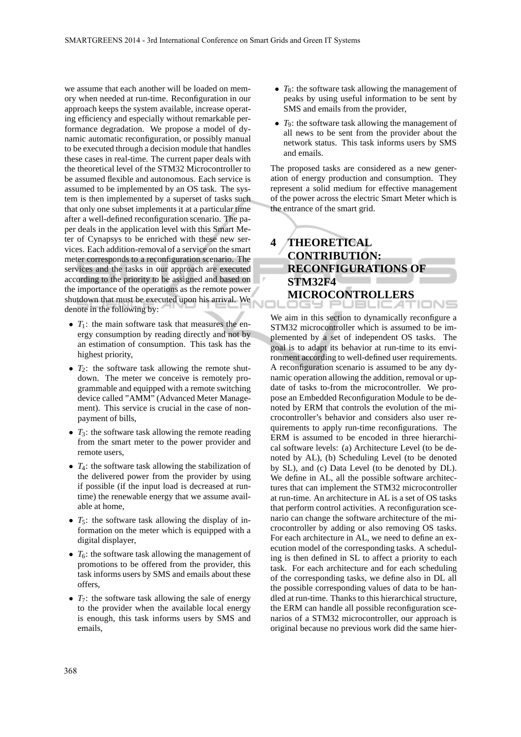we assume that each another will be loaded on memory when needed at run-time. Reconfiguration in our approach keeps the system available, increase operating efficiency and especially without remarkable performance degradation. We propose a model of dynamic automatic reconfiguration, or possibly manual to be executed through a decision module that handles these cases in real-time. The current paper deals with the theoretical level of the STM32 Microcontroller to be assumed flexible and autonomous. Each service is assumed to be implemented by an OS task. The system is then implemented by a superset of tasks such that only one subset implements it at a particular time after a well-defined reconfiguration scenario. The paper deals in the application level with this Smart Meter of Cynapsys to be enriched with these new services. Each addition-removal of a service on the smart meter corresponds to a reconfiguration scenario. The services and the tasks in our approach are executed according to the priority to be assigned and based on the importance of the operations as the remote power shutdown that must be executed upon his arrival. We denote in the following by:

- *T*<sub>1</sub>: the main software task that measures the energy consumption by reading directly and not by an estimation of consumption. This task has the highest priority,
- $T_2$ : the software task allowing the remote shutdown. The meter we conceive is remotely programmable and equipped with a remote switching device called "AMM" (Advanced Meter Management). This service is crucial in the case of nonpayment of bills,
- $T_3$ : the software task allowing the remote reading from the smart meter to the power provider and remote users,
- *T*<sub>4</sub>: the software task allowing the stabilization of the delivered power from the provider by using if possible (if the input load is decreased at runtime) the renewable energy that we assume available at home,
- $T_5$ : the software task allowing the display of information on the meter which is equipped with a digital displayer,
- $T_6$ : the software task allowing the management of promotions to be offered from the provider, this task informs users by SMS and emails about these offers,
- $T_7$ : the software task allowing the sale of energy to the provider when the available local energy is enough, this task informs users by SMS and emails,
- *T*<sub>8</sub>: the software task allowing the management of peaks by using useful information to be sent by SMS and emails from the provider,
- *T*9: the software task allowing the management of all news to be sent from the provider about the network status. This task informs users by SMS and emails.

The proposed tasks are considered as a new generation of energy production and consumption. They represent a solid medium for effective management of the power across the electric Smart Meter which is the entrance of the smart grid.

# **4 THEORETICAL CONTRIBUTION: RECONFIGURATIONS OF STM32F4 MICROCONTROLLERS**

We aim in this section to dynamically reconfigure a STM32 microcontroller which is assumed to be implemented by a set of independent OS tasks. The goal is to adapt its behavior at run-time to its environment according to well-defined user requirements. A reconfiguration scenario is assumed to be any dynamic operation allowing the addition, removal or update of tasks to-from the microcontroller. We propose an Embedded Reconfiguration Module to be denoted by ERM that controls the evolution of the microcontroller's behavior and considers also user requirements to apply run-time reconfigurations. The ERM is assumed to be encoded in three hierarchical software levels: (a) Architecture Level (to be denoted by AL), (b) Scheduling Level (to be denoted by SL), and (c) Data Level (to be denoted by DL). We define in AL, all the possible software architectures that can implement the STM32 microcontroller at run-time. An architecture in AL is a set of OS tasks that perform control activities. A reconfiguration scenario can change the software architecture of the microcontroller by adding or also removing OS tasks. For each architecture in AL, we need to define an execution model of the corresponding tasks. A scheduling is then defined in SL to affect a priority to each task. For each architecture and for each scheduling of the corresponding tasks, we define also in DL all the possible corresponding values of data to be handled at run-time. Thanks to this hierarchical structure, the ERM can handle all possible reconfiguration scenarios of a STM32 microcontroller, our approach is original because no previous work did the same hier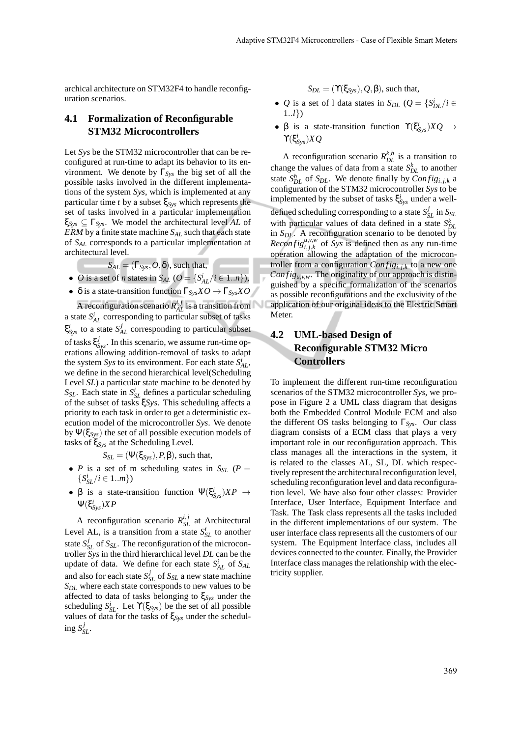archical architecture on STM32F4 to handle reconfiguration scenarios.

### **4.1 Formalization of Reconfigurable STM32 Microcontrollers**

Let *Sys* be the STM32 microcontroller that can be reconfigured at run-time to adapt its behavior to its environment. We denote by Γ*Sys* the big set of all the possible tasks involved in the different implementations of the system *Sys*, which is implemented at any particular time *t* by a subset ξ*Sys* which represents the set of tasks involved in a particular implementation ξ*Sys* ⊆ Γ*Sys*. We model the architectural level *AL* of *ERM* by a finite state machine *SAL* such that each state of *SAL* corresponds to a particular implementation at architectural level.

 $S_{AL} = (\Gamma_{Sys}, O, \delta)$ , such that,

- *O* is a set of *n* states in  $S_{AL}$  ( $O = \{S_{AL}^i / i \in 1..n\}$ ),
- δ is a state-transition function Γ*SysXO* → Γ*SysXO*

A reconfiguration scenario  $R_{AL}^{i,j}$  is a transition from a state  $S_{AL}^i$  corresponding to particular subset of tasks  $\xi_{\mathit{Sys}}^i$  to a state  $S_{AL}^j$  corresponding to particular subset of tasks ξ *j Sys*. In this scenario, we assume run-time operations allowing addition-removal of tasks to adapt the system *Sys* to its environment. For each state  $S_{AL}^{i}$ , we define in the second hierarchical level(Scheduling Level *SL*) a particular state machine to be denoted by  $S_{SL}$ . Each state in  $S_{SL}^i$  defines a particular scheduling of the subset of tasks ξ*Sys*. This scheduling affects a priority to each task in order to get a deterministic execution model of the microcontroller *Sys*. We denote by Ψ(ξ*Sys*) the set of all possible execution models of tasks of ξ*Sys* at the Scheduling Level.

 $S_{\text{S}L} = (\Psi(\xi_{\text{S}vs}), P, \beta)$ , such that,

- *P* is a set of m scheduling states in  $S_{SL}$  (*P* =  $\{S_{SL}^i/i \in 1..m\}$
- β is a state-transition function  $\Psi(\xi_{\text{Sys}}^i)XP \to$ Ψ(ξ *i Sys*)*XP*

A reconfiguration scenario  $R_{SL}^{i,j}$  at Architectural Level AL, is a transition from a state  $S_{SL}^i$  to another state  $S_{SL}^j$  of  $S_{SL}$ . The reconfiguration of the microcontroller *Sys* in the third hierarchical level *DL* can be the update of data. We define for each state  $S_{AL}^i$  of  $S_{AL}$ and also for each state  $S_{SL}^j$  of  $S_{SL}$  a new state machine *SDL* where each state corresponds to new values to be affected to data of tasks belonging to ξ*Sys* under the scheduling  $S_{SL}^i$ . Let  $\Upsilon(\xi_{Sys})$  be the set of all possible values of data for the tasks of ξ*Sys* under the schedul- $\log S_{SL}^j$ .

 $S_{DL} = (\Upsilon(\xi_{Sys}), Q, \beta)$ , such that,

- *Q* is a set of 1 data states in *S<sub>DL</sub>* ( $Q = \{S_{DL}^i/i \in$ 1..*l*})
- β is a state-transition function  $\Upsilon(\xi_{\text{Sys}}^i)XQ \rightarrow$  $\Upsilon(\xi^i_{\rm Sys})XQ$

A reconfiguration scenario  $R_{DL}^{k,h}$  is a transition to change the values of data from a state  $S_{DL}^k$  to another state  $S_{DL}^h$  of  $S_{DL}$ . We denote finally by  $Config_{i,j,k}$  a configuration of the STM32 microcontroller *Sys* to be implemented by the subset of tasks ξ *i Sys* under a welldefined scheduling corresponding to a state  $S_{SL}^j$  in  $S_{SL}$ with particular values of data defined in a state  $S_I^k$  $\sum_{D}$  *DL*. A reconfiguration scenario to be denoted by *Reconfig*<sup>*u*,*v*,*w*</sup> of *Sys* is defined then as any run-time operation allowing the adaptation of the microcontroller from a configuration  $Config_{i,j,k}$  to a new one *Config<sub>u,v,w</sub>*. The originality of our approach is distinguished by a specific formalization of the scenarios as possible reconfigurations and the exclusivity of the application of our original ideas to the Electric Smart Meter.

## **4.2 UML-based Design of Reconfigurable STM32 Micro Controllers**

√

To implement the different run-time reconfiguration scenarios of the STM32 microcontroller *Sys*, we propose in Figure 2 a UML class diagram that designs both the Embedded Control Module ECM and also the different OS tasks belonging to  $\Gamma_{Svs.}$  Our class diagram consists of a ECM class that plays a very important role in our reconfiguration approach. This class manages all the interactions in the system, it is related to the classes AL, SL, DL which respectively represent the architectural reconfiguration level, scheduling reconfiguration level and data reconfiguration level. We have also four other classes: Provider Interface, User Interface, Equipment Interface and Task. The Task class represents all the tasks included in the different implementations of our system. The user interface class represents all the customers of our system. The Equipment Interface class, includes all devices connected to the counter. Finally, the Provider Interface class manages the relationship with the electricity supplier.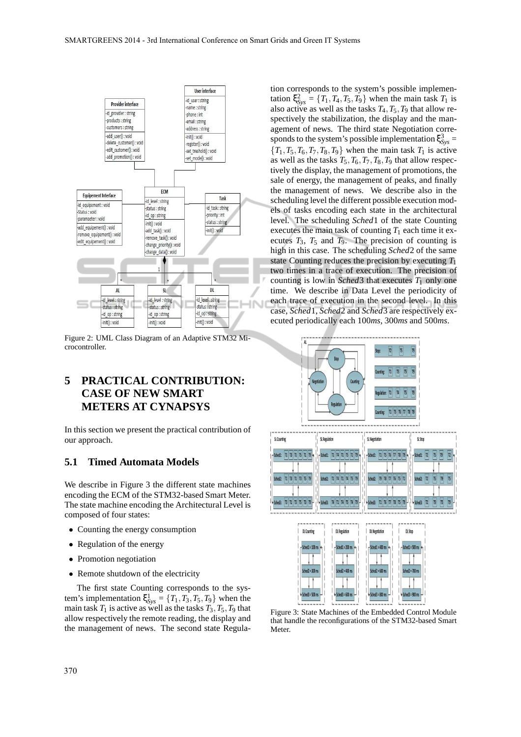

Figure 2: UML Class Diagram of an Adaptive STM32 Microcontroller.

# **5 PRACTICAL CONTRIBUTION: CASE OF NEW SMART METERS AT CYNAPSYS**

In this section we present the practical contribution of our approach.

#### **5.1 Timed Automata Models**

We describe in Figure 3 the different state machines encoding the ECM of the STM32-based Smart Meter. The state machine encoding the Architectural Level is composed of four states:

- Counting the energy consumption
- Regulation of the energy
- Promotion negotiation
- Remote shutdown of the electricity

The first state Counting corresponds to the system's implementation  $\xi_{Sys}^1 = \{T_1, T_3, T_5, T_9\}$  when the main task  $T_1$  is active as well as the tasks  $T_3$ ,  $T_5$ ,  $T_9$  that allow respectively the remote reading, the display and the management of news. The second state Regula-

tion corresponds to the system's possible implementation  $\xi_{\text{Sys}}^2 = \{T_1, T_4, T_5, T_9\}$  when the main task  $T_1$  is also active as well as the tasks  $T_4$ ,  $T_5$ ,  $T_9$  that allow respectively the stabilization, the display and the management of news. The third state Negotiation corresponds to the system's possible implementation  $\xi_{\text{Sys}}^3$  =  ${T_1, T_5, T_6, T_7, T_8, T_9}$  when the main task  $T_1$  is active as well as the tasks  $T_5, T_6, T_7, T_8, T_9$  that allow respectively the display, the management of promotions, the sale of energy, the management of peaks, and finally the management of news. We describe also in the scheduling level the different possible execution models of tasks encoding each state in the architectural level. The scheduling *Sched*1 of the state Counting executes the main task of counting  $T_1$  each time it executes  $T_3$ ,  $T_5$  and  $T_9$ . The precision of counting is high in this case. The scheduling *Sched*2 of the same state Counting reduces the precision by executing *T*<sup>1</sup> two times in a trace of execution. The precision of counting is low in *Sched*3 that executes  $T_1$  only one time. We describe in Data Level the periodicity of each trace of execution in the second level. In this case, *Sched*1, *Sched*2 and *Sched*3 are respectively executed periodically each 100*ms*, 300*ms* and 500*ms*.



Figure 3: State Machines of the Embedded Control Module that handle the reconfigurations of the STM32-based Smart **Meter**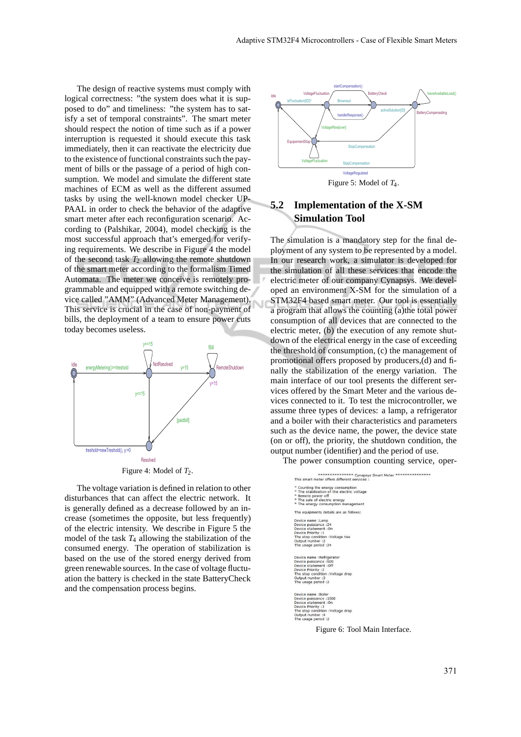The design of reactive systems must comply with logical correctness: "the system does what it is supposed to do" and timeliness: "the system has to satisfy a set of temporal constraints". The smart meter should respect the notion of time such as if a power interruption is requested it should execute this task immediately, then it can reactivate the electricity due to the existence of functional constraints such the payment of bills or the passage of a period of high consumption. We model and simulate the different state machines of ECM as well as the different assumed tasks by using the well-known model checker UP-PAAL in order to check the behavior of the adaptive smart meter after each reconfiguration scenario. According to (Palshikar, 2004), model checking is the most successful approach that's emerged for verifying requirements. We describe in Figure 4 the model of the second task  $T_2$  allowing the remote shutdown of the smart meter according to the formalism Timed Automata. The meter we conceive is remotely programmable and equipped with a remote switching device called "AMM" (Advanced Meter Management). This service is crucial in the case of non-payment of bills, the deployment of a team to ensure power cuts today becomes useless.



The voltage variation is defined in relation to other disturbances that can affect the electric network. It is generally defined as a decrease followed by an increase (sometimes the opposite, but less frequently) of the electric intensity. We describe in Figure 5 the model of the task  $T_4$  allowing the stabilization of the consumed energy. The operation of stabilization is based on the use of the stored energy derived from green renewable sources. In the case of voltage fluctuation the battery is checked in the state BatteryCheck and the compensation process begins.



Figure 5: Model of *T*4.

## **5.2 Implementation of the X-SM Simulation Tool**

N

The simulation is a mandatory step for the final deployment of any system to be represented by a model. In our research work, a simulator is developed for the simulation of all these services that encode the electric meter of our company Cynapsys. We developed an environment X-SM for the simulation of a STM32F4 based smart meter. Our tool is essentially a program that allows the counting (a)the total power consumption of all devices that are connected to the electric meter, (b) the execution of any remote shutdown of the electrical energy in the case of exceeding the threshold of consumption, (c) the management of promotional offers proposed by producers,(d) and finally the stabilization of the energy variation. The main interface of our tool presents the different services offered by the Smart Meter and the various devices connected to it. To test the microcontroller, we assume three types of devices: a lamp, a refrigerator and a boiler with their characteristics and parameters such as the device name, the power, the device state (on or off), the priority, the shutdown condition, the output number (identifier) and the period of use.

The power consumption counting service, oper-

| ************** Cynapsys Smart Meter ****************                                                          |
|---------------------------------------------------------------------------------------------------------------|
| This smart meter offers different services :                                                                  |
|                                                                                                               |
| * Counting the energy consumption                                                                             |
| * The stabilization of the electric voltage                                                                   |
| * Remote power off                                                                                            |
| * The sale of electric energy                                                                                 |
| * The energy consumption management                                                                           |
| The equipments details are as follows:                                                                        |
| Device name : Lamp                                                                                            |
| Device puissance : 24                                                                                         |
| Device statement : On                                                                                         |
| Device Priority : 1                                                                                           |
| The stop condition : Voltage rise                                                                             |
| Output number :2                                                                                              |
| The usage period : 24                                                                                         |
| Device name : Refrigerator                                                                                    |
| Device puissance : 500                                                                                        |
| Device statement : Off                                                                                        |
| Device Priority : 2                                                                                           |
| The stop condition : Voltage drop                                                                             |
| Output number: 3                                                                                              |
| The usage period :2                                                                                           |
| Device name : Boiler                                                                                          |
| Device puissance : 1500                                                                                       |
| Device statement : On                                                                                         |
| Device Priority : 3                                                                                           |
| the contract of the contract of the season of the contract of the contract of the contract of the contract of |

: The stop condition<br>Output number<br>The usage period

Figure 6: Tool Main Interface.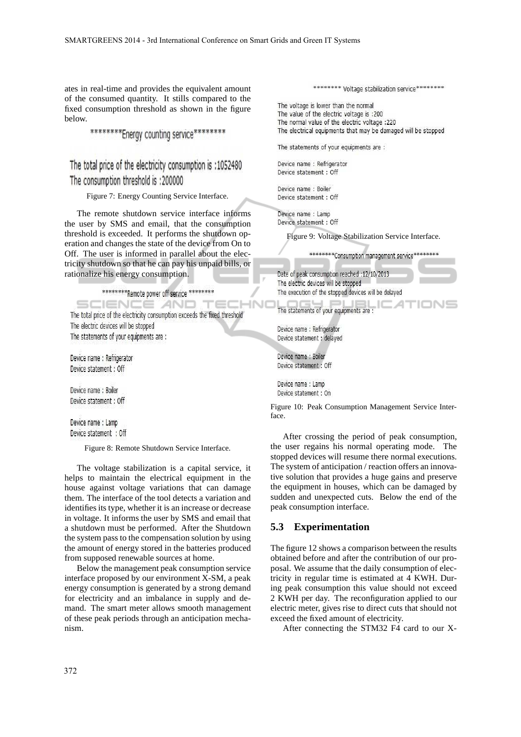ates in real-time and provides the equivalent amount of the consumed quantity. It stills compared to the fixed consumption threshold as shown in the figure below.

\*\*\*\*\*\*\*\*\*Energy counting service\*\*\*\*\*\*\*\*

The total price of the electricity consumption is :1052480 The consumption threshold is :200000

Figure 7: Energy Counting Service Interface.

The remote shutdown service interface informs the user by SMS and email, that the consumption threshold is exceeded. It performs the shutdown operation and changes the state of the device from On to Off. The user is informed in parallel about the electricity shutdown so that he can pay his unpaid bills, or rationalize his energy consumption.

\*\*\*\*\*\*\*\*\*Remote power off service \*\*\*\*\*\*\*\*\*

SCIENCE AND TED

The total price of the electricity consumption exceeds the fixed threshold The electric devices will be stopped The statements of your equipments are :

Device name : Refrigerator Device statement : Off

Device name: Boiler Device statement : Off

Device name: Lamp Device statement : Off

Figure 8: Remote Shutdown Service Interface.

The voltage stabilization is a capital service, it helps to maintain the electrical equipment in the house against voltage variations that can damage them. The interface of the tool detects a variation and identifies its type, whether it is an increase or decrease in voltage. It informs the user by SMS and email that a shutdown must be performed. After the Shutdown the system pass to the compensation solution by using the amount of energy stored in the batteries produced from supposed renewable sources at home.

Below the management peak consumption service interface proposed by our environment X-SM, a peak energy consumption is generated by a strong demand for electricity and an imbalance in supply and demand. The smart meter allows smooth management of these peak periods through an anticipation mechanism.

\*\*\*\*\*\*\*\* Voltage stabilization service\*\*\*\*\*\*\*\*\*

The voltage is lower than the normal The value of the electric voltage is :200 The normal value of the electric voltage :220 The electrical equipments that may be damaged will be stopped

The statements of your equipments are :

Device name : Refrigerator Device statement : Off

Device name : Boiler Device statement : Off

Device name : Lamp Device statement : Off

Figure 9: Voltage Stabilization Service Interface.

\*\*\*\*\*\*\*\*\*Consumption management service\*\*\*\*\*\*\*\*\*

Date of peak consumption reached :12/10/2013 The electric devices will be stopped The execution of the stopped devices will be delayed

The statements of your equipments are :

Device name : Refrigerator Device statement : delayed

Device name : Boiler Device statement : Off

**INI** 

Device name : Lamp Device statement : On

Figure 10: Peak Consumption Management Service Interface.

After crossing the period of peak consumption, the user regains his normal operating mode. The stopped devices will resume there normal executions. The system of anticipation / reaction offers an innovative solution that provides a huge gains and preserve the equipment in houses, which can be damaged by sudden and unexpected cuts. Below the end of the peak consumption interface.

#### **5.3 Experimentation**

The figure 12 shows a comparison between the results obtained before and after the contribution of our proposal. We assume that the daily consumption of electricity in regular time is estimated at 4 KWH. During peak consumption this value should not exceed 2 KWH per day. The reconfiguration applied to our electric meter, gives rise to direct cuts that should not exceed the fixed amount of electricity.

After connecting the STM32 F4 card to our X-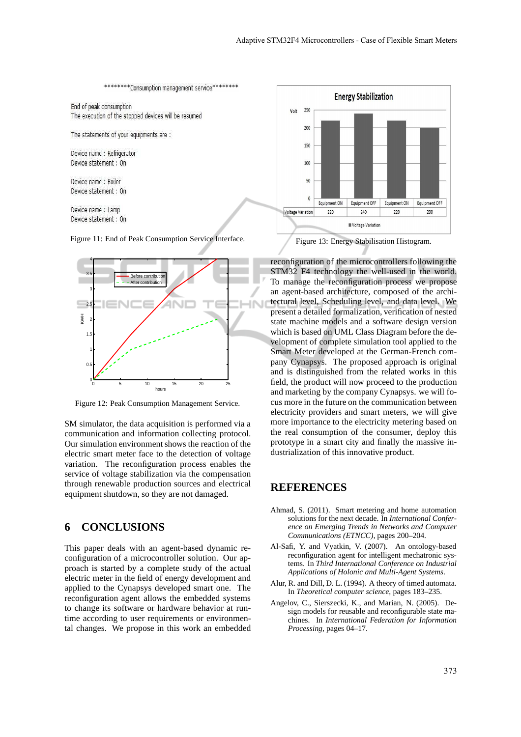

Device name : Lamp Device statement : On

Figure 11: End of Peak Consumption Service Interface.



Figure 12: Peak Consumption Management Service.

SM simulator, the data acquisition is performed via a communication and information collecting protocol. Our simulation environment shows the reaction of the electric smart meter face to the detection of voltage variation. The reconfiguration process enables the service of voltage stabilization via the compensation through renewable production sources and electrical equipment shutdown, so they are not damaged.

### **6 CONCLUSIONS**

This paper deals with an agent-based dynamic reconfiguration of a microcontroller solution. Our approach is started by a complete study of the actual electric meter in the field of energy development and applied to the Cynapsys developed smart one. The reconfiguration agent allows the embedded systems to change its software or hardware behavior at runtime according to user requirements or environmental changes. We propose in this work an embedded



Figure 13: Energy Stabilisation Histogram.

reconfiguration of the microcontrollers following the STM32 F4 technology the well-used in the world. To manage the reconfiguration process we propose an agent-based architecture, composed of the architectural level, Scheduling level, and data level. We present a detailed formalization, verification of nested state machine models and a software design version which is based on UML Class Diagram before the development of complete simulation tool applied to the Smart Meter developed at the German-French company Cynapsys. The proposed approach is original and is distinguished from the related works in this field, the product will now proceed to the production and marketing by the company Cynapsys. we will focus more in the future on the communication between electricity providers and smart meters, we will give more importance to the electricity metering based on the real consumption of the consumer, deploy this prototype in a smart city and finally the massive industrialization of this innovative product.

#### **REFERENCES**

- Ahmad, S. (2011). Smart metering and home automation solutions for the next decade. In *International Conference on Emerging Trends in Networks and Computer Communications (ETNCC)*, pages 200–204.
- Al-Safi, Y. and Vyatkin, V. (2007). An ontology-based reconfiguration agent for intelligent mechatronic systems. In *Third International Conference on Industrial Applications of Holonic and Multi-Agent Systems*.
- Alur, R. and Dill, D. L. (1994). A theory of timed automata. In *Theoretical computer science*, pages 183–235.
- Angelov, C., Sierszecki, K., and Marian, N. (2005). Design models for reusable and reconfigurable state machines. In *International Federation for Information Processing*, pages 04–17.